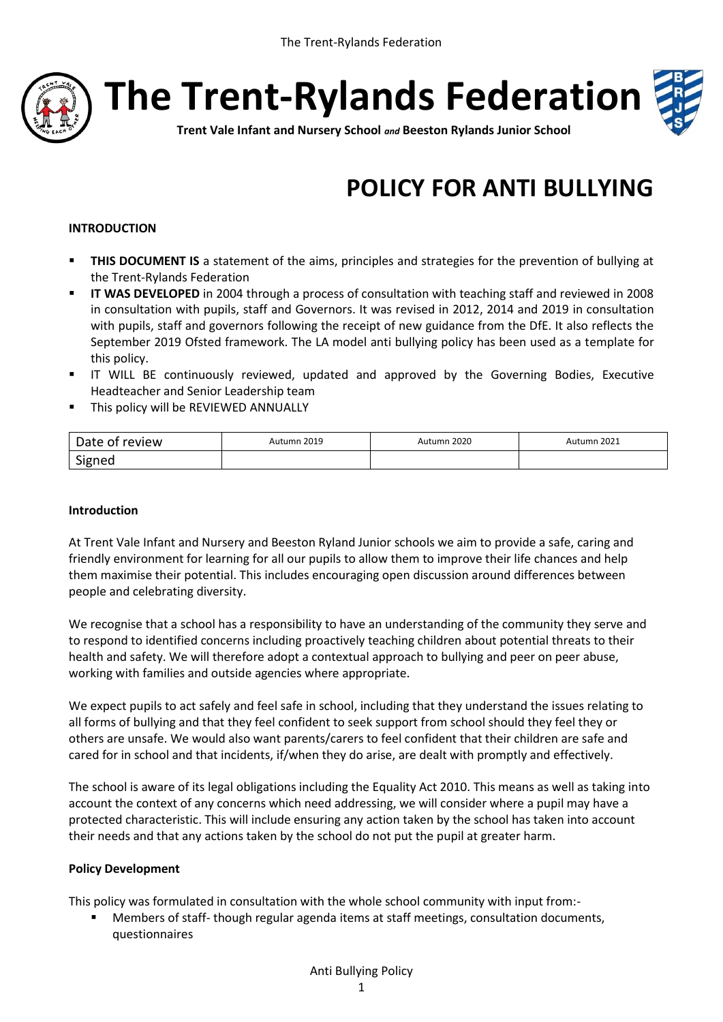

**The Trent-Rylands Federation**



**Trent Vale Infant and Nursery School** *and* **Beeston Rylands Junior School**

# **POLICY FOR ANTI BULLYING**

# **INTRODUCTION**

- **THIS DOCUMENT IS** a statement of the aims, principles and strategies for the prevention of bullying at the Trent-Rylands Federation
- **IT WAS DEVELOPED** in 2004 through a process of consultation with teaching staff and reviewed in 2008 in consultation with pupils, staff and Governors. It was revised in 2012, 2014 and 2019 in consultation with pupils, staff and governors following the receipt of new guidance from the DfE. It also reflects the September 2019 Ofsted framework. The LA model anti bullying policy has been used as a template for this policy.
- IT WILL BE continuously reviewed, updated and approved by the Governing Bodies, Executive Headteacher and Senior Leadership team
- **This policy will be REVIEWED ANNUALLY**

| Date of review | Autumn 2019 | Autumn 2020 | Autumn 2021 |
|----------------|-------------|-------------|-------------|
| Signed         |             |             |             |

#### **Introduction**

At Trent Vale Infant and Nursery and Beeston Ryland Junior schools we aim to provide a safe, caring and friendly environment for learning for all our pupils to allow them to improve their life chances and help them maximise their potential. This includes encouraging open discussion around differences between people and celebrating diversity.

We recognise that a school has a responsibility to have an understanding of the community they serve and to respond to identified concerns including proactively teaching children about potential threats to their health and safety. We will therefore adopt a contextual approach to bullying and peer on peer abuse, working with families and outside agencies where appropriate.

We expect pupils to act safely and feel safe in school, including that they understand the issues relating to all forms of bullying and that they feel confident to seek support from school should they feel they or others are unsafe. We would also want parents/carers to feel confident that their children are safe and cared for in school and that incidents, if/when they do arise, are dealt with promptly and effectively.

The school is aware of its legal obligations including the Equality Act 2010. This means as well as taking into account the context of any concerns which need addressing, we will consider where a pupil may have a protected characteristic. This will include ensuring any action taken by the school has taken into account their needs and that any actions taken by the school do not put the pupil at greater harm.

# **Policy Development**

This policy was formulated in consultation with the whole school community with input from:-

 Members of staff- though regular agenda items at staff meetings, consultation documents, questionnaires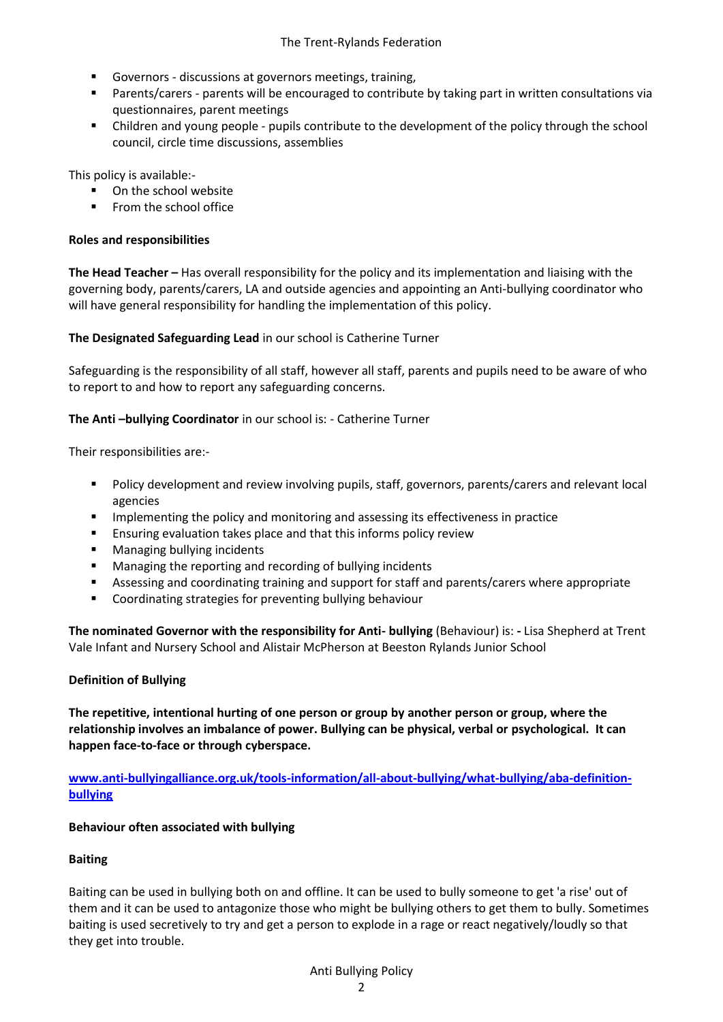- Governors discussions at governors meetings, training,
- Parents/carers parents will be encouraged to contribute by taking part in written consultations via questionnaires, parent meetings
- Children and young people pupils contribute to the development of the policy through the school council, circle time discussions, assemblies

This policy is available:-

- On the school website
- **From the school office**

## **Roles and responsibilities**

**The Head Teacher –** Has overall responsibility for the policy and its implementation and liaising with the governing body, parents/carers, LA and outside agencies and appointing an Anti-bullying coordinator who will have general responsibility for handling the implementation of this policy.

**The Designated Safeguarding Lead** in our school is Catherine Turner

Safeguarding is the responsibility of all staff, however all staff, parents and pupils need to be aware of who to report to and how to report any safeguarding concerns.

## **The Anti-bullying Coordinator** in our school is: - Catherine Turner

Their responsibilities are:-

- Policy development and review involving pupils, staff, governors, parents/carers and relevant local agencies
- **IMPLEMENTIFY IMPLEMENT IMPLEMENT IMPLEMENT IMPLY** IMPLEMENTIFY IMPLIENT IMPLIENT IMPLIENT IMPLIENT IMPLIENT IMPLIENT IMPLIENT IMPLIENT IMPLIENT IMPLIENT IMPLIENT IMPLIENT IMPLIENT IMPLIENT IMPLIENT IMPLIENT IMPLIENT IMPLI
- Ensuring evaluation takes place and that this informs policy review
- **Managing bullying incidents**
- Managing the reporting and recording of bullying incidents
- Assessing and coordinating training and support for staff and parents/carers where appropriate
- Coordinating strategies for preventing bullying behaviour

**The nominated Governor with the responsibility for Anti- bullying** (Behaviour) is: **-** Lisa Shepherd at Trent Vale Infant and Nursery School and Alistair McPherson at Beeston Rylands Junior School

#### **Definition of Bullying**

**The repetitive, intentional hurting of one person or group by another person or group, where the relationship involves an imbalance of power. Bullying can be physical, verbal or psychological. It can happen face-to-face or through cyberspace.**

**[www.anti-bullyingalliance.org.uk/tools-information/all-about-bullying/what-bullying/aba-definition](http://www.anti-bullyingalliance.org.uk/tools-information/all-about-bullying/what-bullying/aba-definition-bullying)[bullying](http://www.anti-bullyingalliance.org.uk/tools-information/all-about-bullying/what-bullying/aba-definition-bullying)**

#### **Behaviour often associated with bullying**

#### **Baiting**

Baiting can be used in bullying both on and offline. It can be used to bully someone to get 'a rise' out of them and it can be used to antagonize those who might be bullying others to get them to bully. Sometimes baiting is used secretively to try and get a person to explode in a rage or react negatively/loudly so that they get into trouble.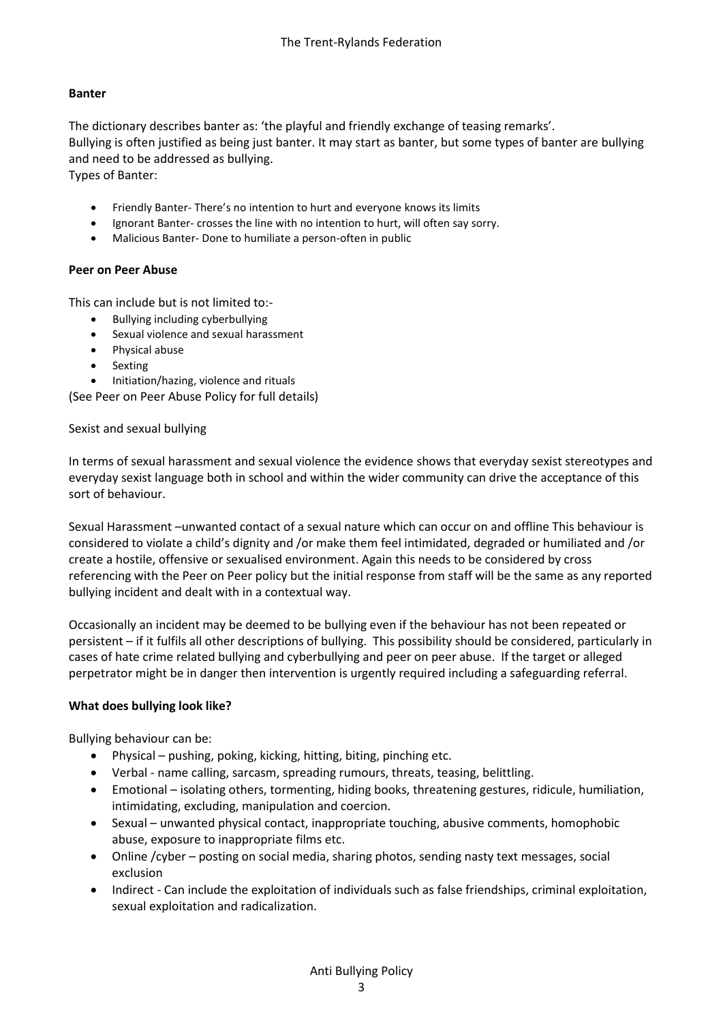# **Banter**

The dictionary describes banter as: 'the playful and friendly exchange of teasing remarks'. Bullying is often justified as being just banter. It may start as banter, but some types of banter are bullying and need to be addressed as bullying.

Types of Banter:

- Friendly Banter- There's no intention to hurt and everyone knows its limits
- Ignorant Banter- crosses the line with no intention to hurt, will often say sorry.
- Malicious Banter- Done to humiliate a person-often in public

## **Peer on Peer Abuse**

This can include but is not limited to:-

- Bullying including cyberbullying
- Sexual violence and sexual harassment
- Physical abuse
- Sexting
- Initiation/hazing, violence and rituals

(See Peer on Peer Abuse Policy for full details)

#### Sexist and sexual bullying

In terms of sexual harassment and sexual violence the evidence shows that everyday sexist stereotypes and everyday sexist language both in school and within the wider community can drive the acceptance of this sort of behaviour.

Sexual Harassment –unwanted contact of a sexual nature which can occur on and offline This behaviour is considered to violate a child's dignity and /or make them feel intimidated, degraded or humiliated and /or create a hostile, offensive or sexualised environment. Again this needs to be considered by cross referencing with the Peer on Peer policy but the initial response from staff will be the same as any reported bullying incident and dealt with in a contextual way.

Occasionally an incident may be deemed to be bullying even if the behaviour has not been repeated or persistent – if it fulfils all other descriptions of bullying. This possibility should be considered, particularly in cases of hate crime related bullying and cyberbullying and peer on peer abuse. If the target or alleged perpetrator might be in danger then intervention is urgently required including a safeguarding referral.

# **What does bullying look like?**

Bullying behaviour can be:

- Physical pushing, poking, kicking, hitting, biting, pinching etc.
- Verbal name calling, sarcasm, spreading rumours, threats, teasing, belittling.
- Emotional isolating others, tormenting, hiding books, threatening gestures, ridicule, humiliation, intimidating, excluding, manipulation and coercion.
- Sexual unwanted physical contact, inappropriate touching, abusive comments, homophobic abuse, exposure to inappropriate films etc.
- Online /cyber posting on social media, sharing photos, sending nasty text messages, social exclusion
- Indirect Can include the exploitation of individuals such as false friendships, criminal exploitation, sexual exploitation and radicalization.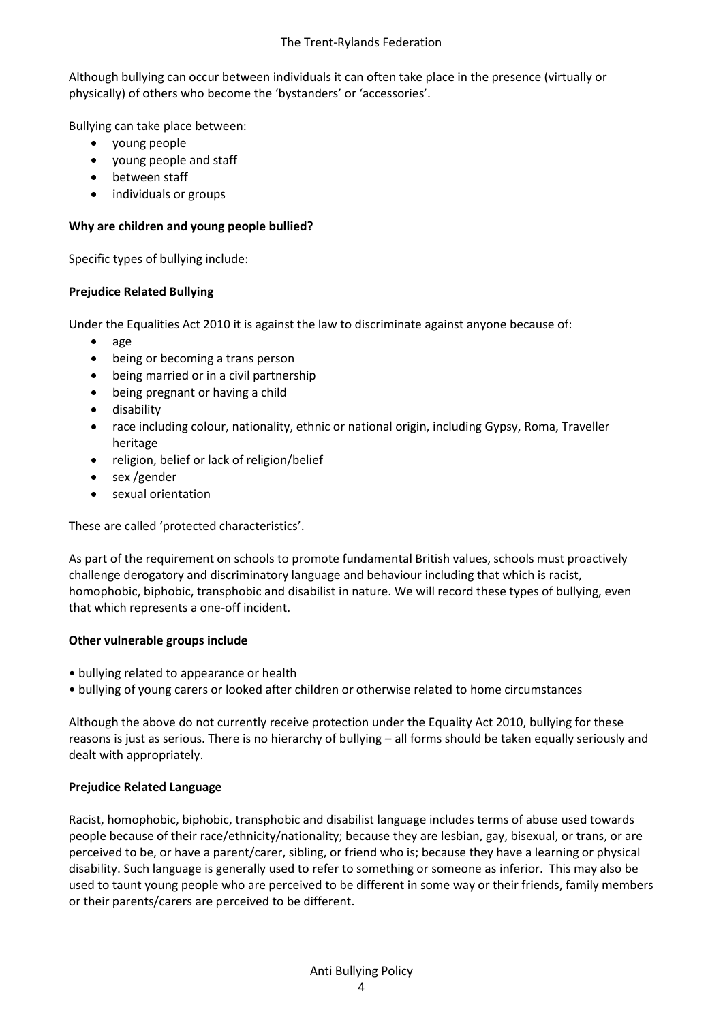Although bullying can occur between individuals it can often take place in the presence (virtually or physically) of others who become the 'bystanders' or 'accessories'.

Bullying can take place between:

- young people
- young people and staff
- between staff
- individuals or groups

# **Why are children and young people bullied?**

Specific types of bullying include:

# **Prejudice Related Bullying**

Under the Equalities Act 2010 it is against the law to discriminate against anyone because of:

- $\bullet$  age
- being or becoming a trans person
- being married or in a civil partnership
- being pregnant or having a child
- **•** disability
- race including colour, nationality, ethnic or national origin, including Gypsy, Roma, Traveller heritage
- religion, belief or lack of religion/belief
- sex /gender
- sexual orientation

These are called 'protected characteristics'.

As part of the requirement on schools to promote fundamental British values, schools must proactively challenge derogatory and discriminatory language and behaviour including that which is racist, homophobic, biphobic, transphobic and disabilist in nature. We will record these types of bullying, even that which represents a one-off incident.

# **Other vulnerable groups include**

- bullying related to appearance or health
- bullying of young carers or looked after children or otherwise related to home circumstances

Although the above do not currently receive protection under the Equality Act 2010, bullying for these reasons is just as serious. There is no hierarchy of bullying – all forms should be taken equally seriously and dealt with appropriately.

# **Prejudice Related Language**

Racist, homophobic, biphobic, transphobic and disabilist language includes terms of abuse used towards people because of their race/ethnicity/nationality; because they are lesbian, gay, bisexual, or trans, or are perceived to be, or have a parent/carer, sibling, or friend who is; because they have a learning or physical disability. Such language is generally used to refer to something or someone as inferior. This may also be used to taunt young people who are perceived to be different in some way or their friends, family members or their parents/carers are perceived to be different.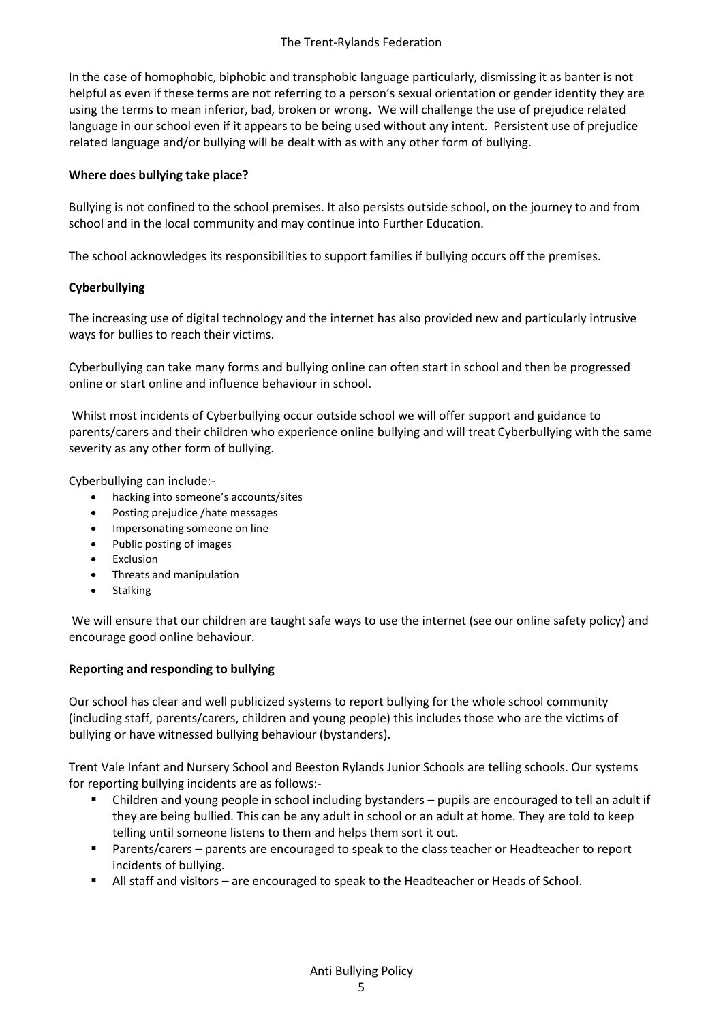In the case of homophobic, biphobic and transphobic language particularly, dismissing it as banter is not helpful as even if these terms are not referring to a person's sexual orientation or gender identity they are using the terms to mean inferior, bad, broken or wrong. We will challenge the use of prejudice related language in our school even if it appears to be being used without any intent. Persistent use of prejudice related language and/or bullying will be dealt with as with any other form of bullying.

# **Where does bullying take place?**

Bullying is not confined to the school premises. It also persists outside school, on the journey to and from school and in the local community and may continue into Further Education.

The school acknowledges its responsibilities to support families if bullying occurs off the premises.

# **Cyberbullying**

The increasing use of digital technology and the internet has also provided new and particularly intrusive ways for bullies to reach their victims.

Cyberbullying can take many forms and bullying online can often start in school and then be progressed online or start online and influence behaviour in school.

Whilst most incidents of Cyberbullying occur outside school we will offer support and guidance to parents/carers and their children who experience online bullying and will treat Cyberbullying with the same severity as any other form of bullying.

Cyberbullying can include:-

- hacking into someone's accounts/sites
- Posting prejudice / hate messages
- Impersonating someone on line
- Public posting of images
- Exclusion
- Threats and manipulation
- Stalking

We will ensure that our children are taught safe ways to use the internet (see our online safety policy) and encourage good online behaviour.

# **Reporting and responding to bullying**

Our school has clear and well publicized systems to report bullying for the whole school community (including staff, parents/carers, children and young people) this includes those who are the victims of bullying or have witnessed bullying behaviour (bystanders).

Trent Vale Infant and Nursery School and Beeston Rylands Junior Schools are telling schools. Our systems for reporting bullying incidents are as follows:-

- Children and young people in school including bystanders pupils are encouraged to tell an adult if they are being bullied. This can be any adult in school or an adult at home. They are told to keep telling until someone listens to them and helps them sort it out.
- Parents/carers parents are encouraged to speak to the class teacher or Headteacher to report incidents of bullying.
- All staff and visitors are encouraged to speak to the Headteacher or Heads of School.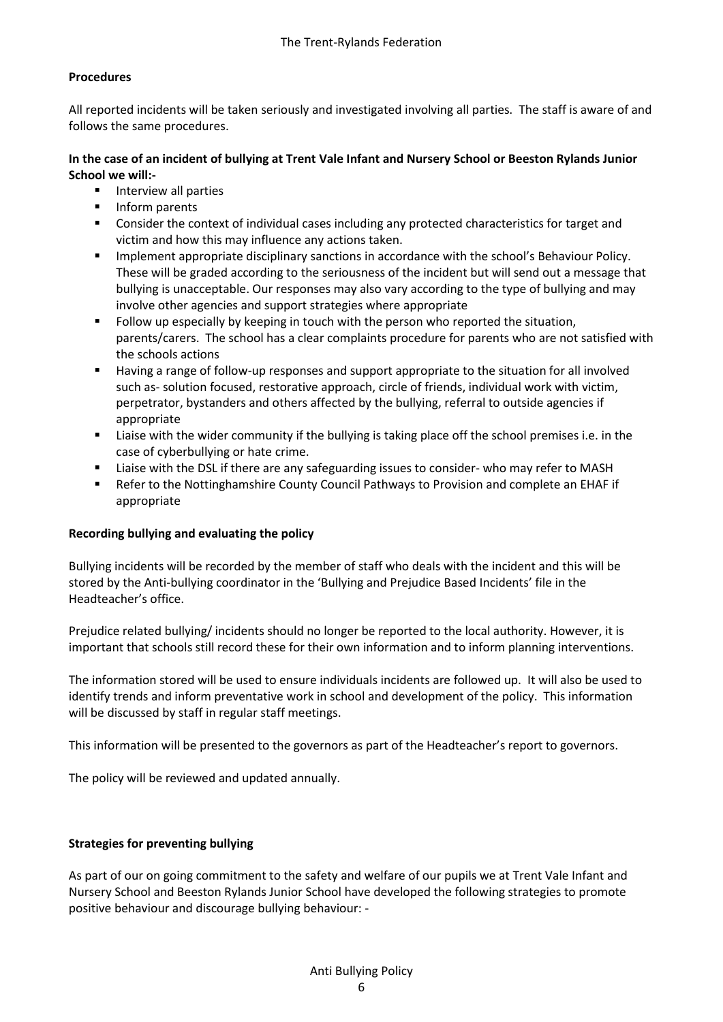# **Procedures**

All reported incidents will be taken seriously and investigated involving all parties. The staff is aware of and follows the same procedures.

# **In the case of an incident of bullying at Trent Vale Infant and Nursery School or Beeston Rylands Junior School we will:-**

- Interview all parties
- **Inform parents**
- Consider the context of individual cases including any protected characteristics for target and victim and how this may influence any actions taken.
- Implement appropriate disciplinary sanctions in accordance with the school's Behaviour Policy. These will be graded according to the seriousness of the incident but will send out a message that bullying is unacceptable. Our responses may also vary according to the type of bullying and may involve other agencies and support strategies where appropriate
- Follow up especially by keeping in touch with the person who reported the situation, parents/carers. The school has a clear complaints procedure for parents who are not satisfied with the schools actions
- Having a range of follow-up responses and support appropriate to the situation for all involved such as- solution focused, restorative approach, circle of friends, individual work with victim, perpetrator, bystanders and others affected by the bullying, referral to outside agencies if appropriate
- Liaise with the wider community if the bullying is taking place off the school premises i.e. in the case of cyberbullying or hate crime.
- Liaise with the DSL if there are any safeguarding issues to consider- who may refer to MASH
- Refer to the Nottinghamshire County Council Pathways to Provision and complete an EHAF if appropriate

# **Recording bullying and evaluating the policy**

Bullying incidents will be recorded by the member of staff who deals with the incident and this will be stored by the Anti-bullying coordinator in the 'Bullying and Prejudice Based Incidents' file in the Headteacher's office.

Prejudice related bullying/ incidents should no longer be reported to the local authority. However, it is important that schools still record these for their own information and to inform planning interventions.

The information stored will be used to ensure individuals incidents are followed up. It will also be used to identify trends and inform preventative work in school and development of the policy. This information will be discussed by staff in regular staff meetings.

This information will be presented to the governors as part of the Headteacher's report to governors.

The policy will be reviewed and updated annually.

# **Strategies for preventing bullying**

As part of our on going commitment to the safety and welfare of our pupils we at Trent Vale Infant and Nursery School and Beeston Rylands Junior School have developed the following strategies to promote positive behaviour and discourage bullying behaviour: -